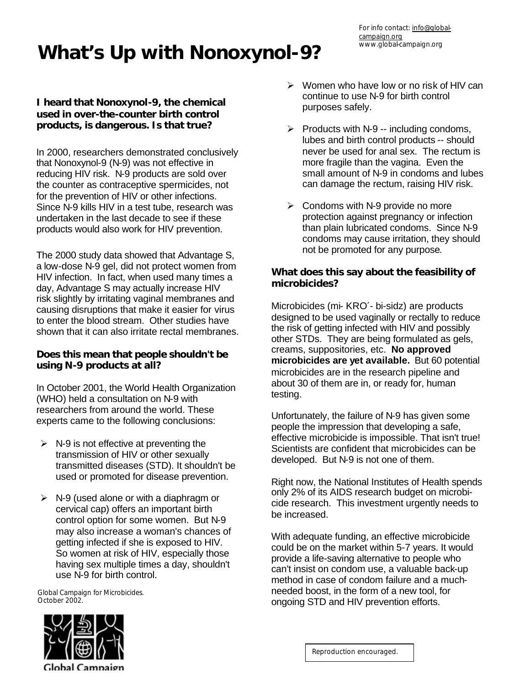# **What's Up with Nonoxynol-9?**

## **I heard that Nonoxynol-9, the chemical used in over-the-counter birth control products, is dangerous. Is that true?**

In 2000, researchers demonstrated conclusively that Nonoxynol-9 (N-9) was not effective in reducing HIV risk. N-9 products are sold over the counter as contraceptive spermicides, not for the prevention of HIV or other infections. Since N-9 kills HIV in a test tube, research was undertaken in the last decade to see if these products would also work for HIV prevention.

The 2000 study data showed that Advantage S, a low-dose N-9 gel, did not protect women from HIV infection. In fact, when used many times a day, Advantage S may actually increase HIV risk slightly by irritating vaginal membranes and causing disruptions that make it easier for virus to enter the blood stream. Other studies have shown that it can also irritate rectal membranes.

### **Does this mean that people shouldn't be using N-9 products at all?**

In October 2001, the World Health Organization (WHO) held a consultation on N-9 with researchers from around the world. These experts came to the following conclusions:

- $\triangleright$  N-9 is not effective at preventing the transmission of HIV or other sexually transmitted diseases (STD). It shouldn't be used or promoted for disease prevention.
- $\triangleright$  N-9 (used alone or with a diaphragm or cervical cap) offers an important birth control option for some women. But N-9 may also increase a woman's chances of getting infected if she is exposed to HIV. So women at risk of HIV, especially those having sex multiple times a day, shouldn't use N-9 for birth control.

Global Campaign for Microbicides. October 2002.



- $\triangleright$  Women who have low or no risk of HIV can continue to use N-9 for birth control purposes safely.
- $\triangleright$  Products with N-9 -- including condoms, lubes and birth control products -- should never be used for anal sex. The rectum is more fragile than the vagina. Even the small amount of N-9 in condoms and lubes can damage the rectum, raising HIV risk.
- $\triangleright$  Condoms with N-9 provide no more protection against pregnancy or infection than plain lubricated condoms. Since N-9 condoms may cause irritation, they should not be promoted for any purpose.

## **What does this say about the feasibility of microbicides?**

Microbicides (mi- KRO′- bi-sidz) are products designed to be used vaginally or rectally to reduce the risk of getting infected with HIV and possibly other STDs. They are being formulated as gels, creams, suppositories, etc. **No approved microbicides are yet available.** But 60 potential microbicides are in the research pipeline and about 30 of them are in, or ready for, human testing.

Unfortunately, the failure of N-9 has given some people the impression that developing a safe, effective microbicide is impossible. That isn't true! Scientists are confident that microbicides can be developed. But N-9 is not one of them.

Right now, the National Institutes of Health spends only 2% of its AIDS research budget on microbicide research. This investment urgently needs to be increased.

With adequate funding, an effective microbicide could be on the market within 5-7 years. It would provide a life-saving alternative to people who can't insist on condom use, a valuable back-up method in case of condom failure and a muchneeded boost, in the form of a new tool, for ongoing STD and HIV prevention efforts.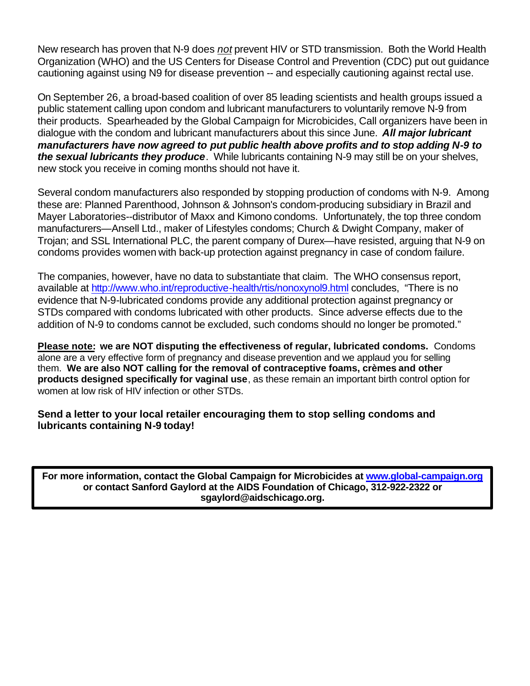New research has proven that N-9 does *not* prevent HIV or STD transmission. Both the World Health Organization (WHO) and the US Centers for Disease Control and Prevention (CDC) put out guidance cautioning against using N9 for disease prevention -- and especially cautioning against rectal use.

On September 26, a broad-based coalition of over 85 leading scientists and health groups issued a public statement calling upon condom and lubricant manufacturers to voluntarily remove N-9 from their products. Spearheaded by the Global Campaign for Microbicides, Call organizers have been in dialogue with the condom and lubricant manufacturers about this since June. *All major lubricant manufacturers have now agreed to put public health above profits and to stop adding N-9 to the sexual lubricants they produce*. While lubricants containing N-9 may still be on your shelves, new stock you receive in coming months should not have it.

Several condom manufacturers also responded by stopping production of condoms with N-9. Among these are: Planned Parenthood, Johnson & Johnson's condom-producing subsidiary in Brazil and Mayer Laboratories--distributor of Maxx and Kimono condoms. Unfortunately, the top three condom manufacturers—Ansell Ltd., maker of Lifestyles condoms; Church & Dwight Company, maker of Trojan; and SSL International PLC, the parent company of Durex—have resisted, arguing that N-9 on condoms provides women with back-up protection against pregnancy in case of condom failure.

The companies, however, have no data to substantiate that claim. The WHO consensus report, available at http://www.who.int/reproductive-health/rtis/nonoxynol9.html concludes, "There is no evidence that N-9-lubricated condoms provide any additional protection against pregnancy or STDs compared with condoms lubricated with other products. Since adverse effects due to the addition of N-9 to condoms cannot be excluded, such condoms should no longer be promoted."

**Please note: we are NOT disputing the effectiveness of regular, lubricated condoms.** Condoms alone are a very effective form of pregnancy and disease prevention and we applaud you for selling them. **We are also NOT calling for the removal of contraceptive foams, crèmes and other products designed specifically for vaginal use**, as these remain an important birth control option for women at low risk of HIV infection or other STDs.

**Send a letter to your local retailer encouraging them to stop selling condoms and lubricants containing N-9 today!** 

**For more information, contact the Global Campaign for Microbicides at www.global-campaign.org or contact Sanford Gaylord at the AIDS Foundation of Chicago, 312-922-2322 or sgaylord@aidschicago.org.**